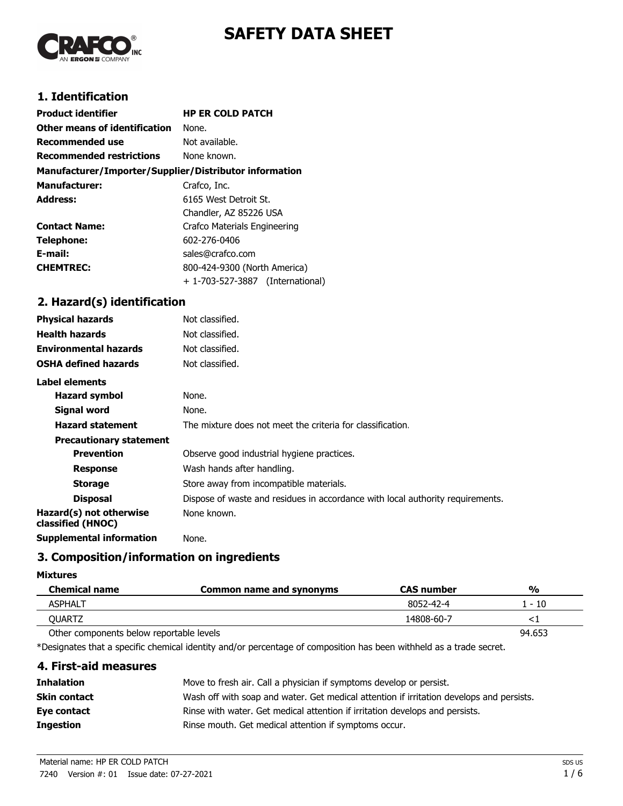



## **1. Identification**

| <b>Product identifier</b>                              | <b>HP ER COLD PATCH</b>          |  |
|--------------------------------------------------------|----------------------------------|--|
| Other means of identification                          | None.                            |  |
| <b>Recommended use</b>                                 | Not available.                   |  |
| <b>Recommended restrictions</b>                        | None known.                      |  |
| Manufacturer/Importer/Supplier/Distributor information |                                  |  |
| <b>Manufacturer:</b>                                   | Crafco, Inc.                     |  |
| Address:                                               | 6165 West Detroit St.            |  |
|                                                        | Chandler, AZ 85226 USA           |  |
| <b>Contact Name:</b>                                   | Crafco Materials Engineering     |  |
| Telephone:                                             | 602-276-0406                     |  |
| E-mail:                                                | sales@crafco.com                 |  |
| <b>CHEMTREC:</b>                                       | 800-424-9300 (North America)     |  |
|                                                        | + 1-703-527-3887 (International) |  |

## **2. Hazard(s) identification**

| <b>Physical hazards</b>                      | Not classified.                                                                |
|----------------------------------------------|--------------------------------------------------------------------------------|
| <b>Health hazards</b>                        | Not classified.                                                                |
| <b>Environmental hazards</b>                 | Not classified.                                                                |
| <b>OSHA defined hazards</b>                  | Not classified.                                                                |
| Label elements                               |                                                                                |
| <b>Hazard symbol</b>                         | None.                                                                          |
| Signal word                                  | None.                                                                          |
| <b>Hazard statement</b>                      | The mixture does not meet the criteria for classification.                     |
| <b>Precautionary statement</b>               |                                                                                |
| <b>Prevention</b>                            | Observe good industrial hygiene practices.                                     |
| <b>Response</b>                              | Wash hands after handling.                                                     |
| <b>Storage</b>                               | Store away from incompatible materials.                                        |
| <b>Disposal</b>                              | Dispose of waste and residues in accordance with local authority requirements. |
| Hazard(s) not otherwise<br>classified (HNOC) | None known.                                                                    |
| <b>Supplemental information</b>              | None.                                                                          |
|                                              |                                                                                |

## **3. Composition/information on ingredients**

#### **Mixtures**

| <b>Chemical name</b>                     | Common name and synonyms | <b>CAS</b> number | $\frac{0}{0}$ |
|------------------------------------------|--------------------------|-------------------|---------------|
| <b>ASPHALT</b>                           |                          | 8052-42-4         | $-10$         |
| OUARTZ                                   |                          | 14808-60-7        |               |
| Other components below reportable levels |                          |                   | 94.653        |

\*Designates that a specific chemical identity and/or percentage of composition has been withheld as a trade secret.

## **4. First-aid measures**

| <b>Inhalation</b> | Move to fresh air. Call a physician if symptoms develop or persist.                      |
|-------------------|------------------------------------------------------------------------------------------|
| Skin contact      | Wash off with soap and water. Get medical attention if irritation develops and persists. |
| Eye contact       | Rinse with water. Get medical attention if irritation develops and persists.             |
| <b>Ingestion</b>  | Rinse mouth. Get medical attention if symptoms occur.                                    |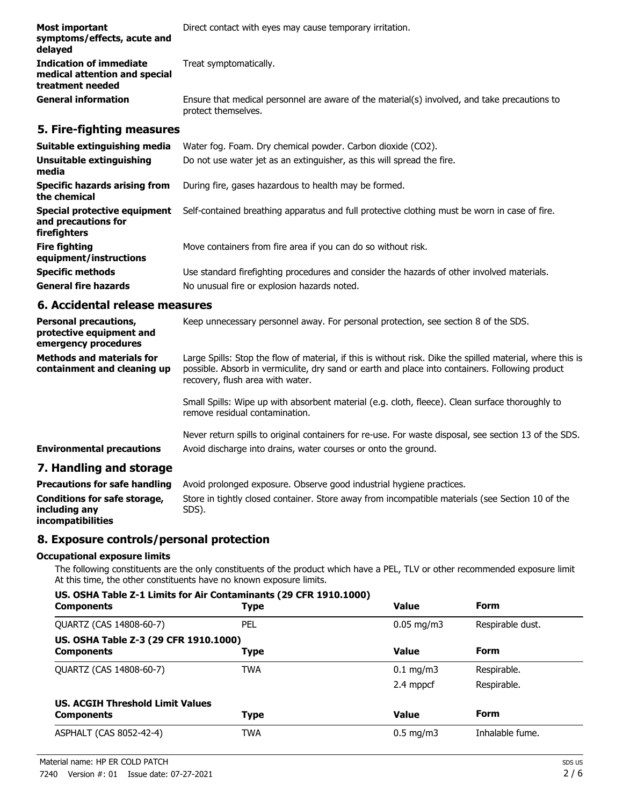| Most important<br>symptoms/effects, acute and<br>delayed                     | Direct contact with eyes may cause temporary irritation.                                                            |  |
|------------------------------------------------------------------------------|---------------------------------------------------------------------------------------------------------------------|--|
| Indication of immediate<br>medical attention and special<br>treatment needed | Treat symptomatically.                                                                                              |  |
| <b>General information</b>                                                   | Ensure that medical personnel are aware of the material(s) involved, and take precautions to<br>protect themselves. |  |

## **5. Fire-fighting measures**

| Suitable extinguishing media<br>Unsuitable extinguishing<br>media   | Water fog. Foam. Dry chemical powder. Carbon dioxide (CO2).<br>Do not use water jet as an extinguisher, as this will spread the fire. |
|---------------------------------------------------------------------|---------------------------------------------------------------------------------------------------------------------------------------|
| Specific hazards arising from<br>the chemical                       | During fire, gases hazardous to health may be formed.                                                                                 |
| Special protective equipment<br>and precautions for<br>firefighters | Self-contained breathing apparatus and full protective clothing must be worn in case of fire.                                         |
| <b>Fire fighting</b><br>equipment/instructions                      | Move containers from fire area if you can do so without risk.                                                                         |
| <b>Specific methods</b>                                             | Use standard firefighting procedures and consider the hazards of other involved materials.                                            |
| <b>General fire hazards</b>                                         | No unusual fire or explosion hazards noted.                                                                                           |

## **6. Accidental release measures**

| <b>Personal precautions,</b><br>protective equipment and<br>emergency procedures | Keep unnecessary personnel away. For personal protection, see section 8 of the SDS.                                                                                                                                                               |
|----------------------------------------------------------------------------------|---------------------------------------------------------------------------------------------------------------------------------------------------------------------------------------------------------------------------------------------------|
| <b>Methods and materials for</b><br>containment and cleaning up                  | Large Spills: Stop the flow of material, if this is without risk. Dike the spilled material, where this is<br>possible. Absorb in vermiculite, dry sand or earth and place into containers. Following product<br>recovery, flush area with water. |
|                                                                                  | Small Spills: Wipe up with absorbent material (e.g. cloth, fleece). Clean surface thoroughly to<br>remove residual contamination.                                                                                                                 |
| <b>Environmental precautions</b>                                                 | Never return spills to original containers for re-use. For waste disposal, see section 13 of the SDS.<br>Avoid discharge into drains, water courses or onto the ground.                                                                           |
|                                                                                  |                                                                                                                                                                                                                                                   |

### **7. Handling and storage**

| <b>Precautions for safe handling</b> | Avoid prolonged exposure. Observe good industrial hygiene practices.                             |
|--------------------------------------|--------------------------------------------------------------------------------------------------|
| Conditions for safe storage,         | Store in tightly closed container. Store away from incompatible materials (see Section 10 of the |
| including any                        | SDS).                                                                                            |
| incompatibilities                    |                                                                                                  |

## **8. Exposure controls/personal protection**

#### **Occupational exposure limits**

The following constituents are the only constituents of the product which have a PEL, TLV or other recommended exposure limit. At this time, the other constituents have no known exposure limits.

#### **US. OSHA Table Z-1 Limits for Air Contaminants (29 CFR 1910.1000)**

| <b>Components</b>                                          | <b>Type</b> | <b>Value</b>           | <b>Form</b>      |
|------------------------------------------------------------|-------------|------------------------|------------------|
| QUARTZ (CAS 14808-60-7)                                    | PEL         | $0.05 \,\mathrm{mg/m}$ | Respirable dust. |
| US. OSHA Table Z-3 (29 CFR 1910.1000)<br><b>Components</b> | <b>Type</b> | <b>Value</b>           | <b>Form</b>      |
| QUARTZ (CAS 14808-60-7)                                    | <b>TWA</b>  | $0.1 \text{ mg/m}$     | Respirable.      |
|                                                            |             | 2.4 mppcf              | Respirable.      |
| <b>US. ACGIH Threshold Limit Values</b>                    |             |                        |                  |
| <b>Components</b>                                          | <b>Type</b> | <b>Value</b>           | <b>Form</b>      |
| ASPHALT (CAS 8052-42-4)                                    | <b>TWA</b>  | $0.5 \text{ mg/m}$     | Inhalable fume.  |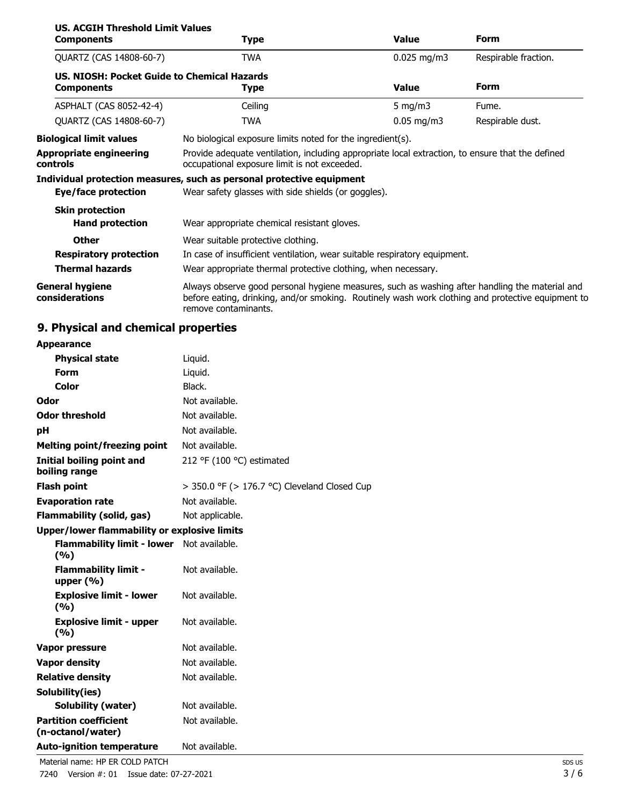| <b>US. ACGIH Threshold Limit Values</b>                          |                                                                                                                                                                                                                             |               |                      |
|------------------------------------------------------------------|-----------------------------------------------------------------------------------------------------------------------------------------------------------------------------------------------------------------------------|---------------|----------------------|
| <b>Components</b>                                                | <b>Type</b>                                                                                                                                                                                                                 | <b>Value</b>  | Form                 |
| QUARTZ (CAS 14808-60-7)                                          | <b>TWA</b>                                                                                                                                                                                                                  | $0.025$ mg/m3 | Respirable fraction. |
| US. NIOSH: Pocket Guide to Chemical Hazards<br><b>Components</b> | <b>Type</b>                                                                                                                                                                                                                 | <b>Value</b>  | <b>Form</b>          |
| ASPHALT (CAS 8052-42-4)                                          | Ceiling                                                                                                                                                                                                                     | 5 mg/m $3$    | Fume.                |
| QUARTZ (CAS 14808-60-7)                                          | <b>TWA</b>                                                                                                                                                                                                                  | $0.05$ mg/m3  | Respirable dust.     |
| <b>Biological limit values</b>                                   | No biological exposure limits noted for the ingredient(s).                                                                                                                                                                  |               |                      |
| <b>Appropriate engineering</b><br>controls                       | Provide adequate ventilation, including appropriate local extraction, to ensure that the defined<br>occupational exposure limit is not exceeded.                                                                            |               |                      |
|                                                                  | Individual protection measures, such as personal protective equipment                                                                                                                                                       |               |                      |
| Eye/face protection                                              | Wear safety glasses with side shields (or goggles).                                                                                                                                                                         |               |                      |
| <b>Skin protection</b><br><b>Hand protection</b>                 | Wear appropriate chemical resistant gloves.                                                                                                                                                                                 |               |                      |
| <b>Other</b>                                                     | Wear suitable protective clothing.                                                                                                                                                                                          |               |                      |
| <b>Respiratory protection</b>                                    | In case of insufficient ventilation, wear suitable respiratory equipment.                                                                                                                                                   |               |                      |
| <b>Thermal hazards</b>                                           | Wear appropriate thermal protective clothing, when necessary.                                                                                                                                                               |               |                      |
| <b>General hygiene</b><br>considerations                         | Always observe good personal hygiene measures, such as washing after handling the material and<br>before eating, drinking, and/or smoking. Routinely wash work clothing and protective equipment to<br>remove contaminants. |               |                      |

# **9. Physical and chemical properties**

| <b>Appearance</b>                                   |                                                   |  |
|-----------------------------------------------------|---------------------------------------------------|--|
| <b>Physical state</b>                               | Liquid.                                           |  |
| <b>Form</b>                                         | Liquid.                                           |  |
| Color                                               | Black.                                            |  |
| Odor                                                | Not available.                                    |  |
| <b>Odor threshold</b>                               | Not available.                                    |  |
| рH                                                  | Not available.                                    |  |
| <b>Melting point/freezing point</b>                 | Not available.                                    |  |
| Initial boiling point and<br>boiling range          | 212 °F (100 °C) estimated                         |  |
| <b>Flash point</b>                                  | $>$ 350.0 °F ( $>$ 176.7 °C) Cleveland Closed Cup |  |
| <b>Evaporation rate</b>                             | Not available.                                    |  |
| <b>Flammability (solid, gas)</b>                    | Not applicable.                                   |  |
| <b>Upper/lower flammability or explosive limits</b> |                                                   |  |
| <b>Flammability limit - lower</b><br>(%)            | Not available.                                    |  |
| <b>Flammability limit -</b><br>upper $(% )$         | Not available.                                    |  |
| <b>Explosive limit - lower</b><br>(%)               | Not available.                                    |  |
| <b>Explosive limit - upper</b><br>(9/6)             | Not available.                                    |  |
| Vapor pressure                                      | Not available.                                    |  |
| <b>Vapor density</b>                                | Not available.                                    |  |
| <b>Relative density</b>                             | Not available.                                    |  |
| Solubility(ies)                                     |                                                   |  |
| <b>Solubility (water)</b>                           | Not available.                                    |  |
| <b>Partition coefficient</b><br>(n-octanol/water)   | Not available.                                    |  |
| <b>Auto-ignition temperature</b>                    | Not available.                                    |  |
| Material name: HP ER COLD PATCH                     |                                                   |  |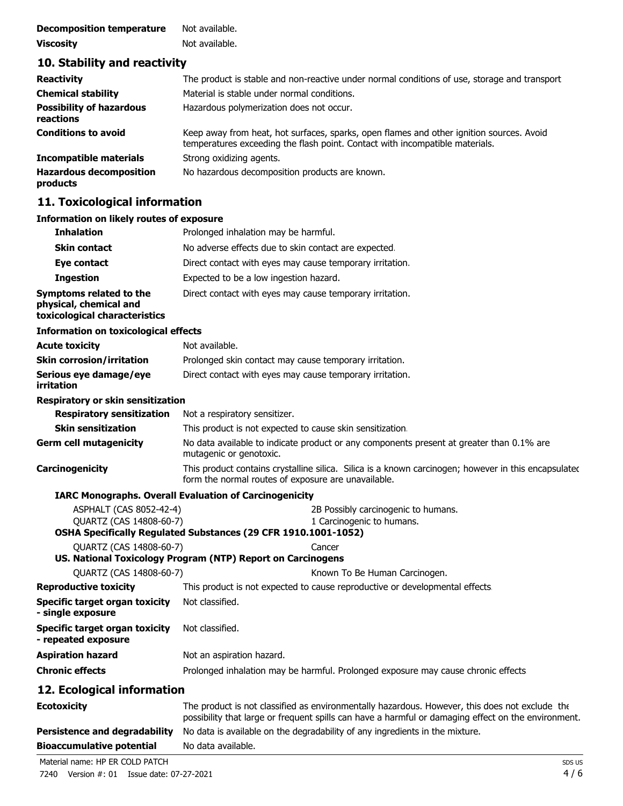| <b>Decomposition temperature</b> | Not available. |
|----------------------------------|----------------|
| <b>Viscosity</b>                 | Not available. |

## **10. Stability and reactivity**

| <b>Reactivity</b>                            | The product is stable and non-reactive under normal conditions of use, storage and transport                                                                             |
|----------------------------------------------|--------------------------------------------------------------------------------------------------------------------------------------------------------------------------|
| <b>Chemical stability</b>                    | Material is stable under normal conditions.                                                                                                                              |
| <b>Possibility of hazardous</b><br>reactions | Hazardous polymerization does not occur.                                                                                                                                 |
| <b>Conditions to avoid</b>                   | Keep away from heat, hot surfaces, sparks, open flames and other ignition sources. Avoid<br>temperatures exceeding the flash point. Contact with incompatible materials. |
| <b>Incompatible materials</b>                | Strong oxidizing agents.                                                                                                                                                 |
| <b>Hazardous decomposition</b><br>products   | No hazardous decomposition products are known.                                                                                                                           |

## **11. Toxicological information**

### **Information on likely routes of exposure**

| <b>Inhalation</b>                                                                  | Prolonged inhalation may be harmful.                                                                                                                                                                  |
|------------------------------------------------------------------------------------|-------------------------------------------------------------------------------------------------------------------------------------------------------------------------------------------------------|
| Skin contact                                                                       | No adverse effects due to skin contact are expected.                                                                                                                                                  |
| Eye contact                                                                        | Direct contact with eyes may cause temporary irritation.                                                                                                                                              |
| <b>Ingestion</b>                                                                   | Expected to be a low ingestion hazard.                                                                                                                                                                |
| Symptoms related to the<br>physical, chemical and<br>toxicological characteristics | Direct contact with eyes may cause temporary irritation.                                                                                                                                              |
| Information on toxicological effects                                               |                                                                                                                                                                                                       |
| <b>Acute toxicity</b>                                                              | Not available.                                                                                                                                                                                        |
| <b>Skin corrosion/irritation</b>                                                   | Prolonged skin contact may cause temporary irritation.                                                                                                                                                |
| Serious eye damage/eye<br>irritation                                               | Direct contact with eyes may cause temporary irritation.                                                                                                                                              |
| Respiratory or skin sensitization                                                  |                                                                                                                                                                                                       |
| <b>Respiratory sensitization</b>                                                   | Not a respiratory sensitizer.                                                                                                                                                                         |
| <b>Skin sensitization</b>                                                          | This product is not expected to cause skin sensitization.                                                                                                                                             |
| <b>Germ cell mutagenicity</b>                                                      | No data available to indicate product or any components present at greater than 0.1% are<br>mutagenic or genotoxic.                                                                                   |
| Carcinogenicity                                                                    | This product contains crystalline silica. Silica is a known carcinogen; however in this encapsulated<br>form the normal routes of exposure are unavailable.                                           |
|                                                                                    | <b>IARC Monographs. Overall Evaluation of Carcinogenicity</b>                                                                                                                                         |
| ASPHALT (CAS 8052-42-4)<br><b>OUARTZ (CAS 14808-60-7)</b>                          | 2B Possibly carcinogenic to humans.<br>1 Carcinogenic to humans.                                                                                                                                      |
| QUARTZ (CAS 14808-60-7)                                                            | OSHA Specifically Regulated Substances (29 CFR 1910.1001-1052)                                                                                                                                        |
|                                                                                    | Cancer<br>US. National Toxicology Program (NTP) Report on Carcinogens                                                                                                                                 |
| QUARTZ (CAS 14808-60-7)                                                            | Known To Be Human Carcinogen.                                                                                                                                                                         |
| <b>Reproductive toxicity</b>                                                       | This product is not expected to cause reproductive or developmental effects                                                                                                                           |
| <b>Specific target organ toxicity</b><br>- single exposure                         | Not classified.                                                                                                                                                                                       |
| <b>Specific target organ toxicity</b><br>- repeated exposure                       | Not classified.                                                                                                                                                                                       |
| <b>Aspiration hazard</b>                                                           | Not an aspiration hazard.                                                                                                                                                                             |
| <b>Chronic effects</b>                                                             | Prolonged inhalation may be harmful. Prolonged exposure may cause chronic effects                                                                                                                     |
| 12. Ecological information                                                         |                                                                                                                                                                                                       |
| <b>Ecotoxicity</b>                                                                 | The product is not classified as environmentally hazardous. However, this does not exclude the<br>possibility that large or frequent spills can have a harmful or damaging effect on the environment. |
| <b>Persistence and degradability</b>                                               | No data is available on the degradability of any ingredients in the mixture.                                                                                                                          |
| <b>Bioaccumulative potential</b>                                                   | No data available.                                                                                                                                                                                    |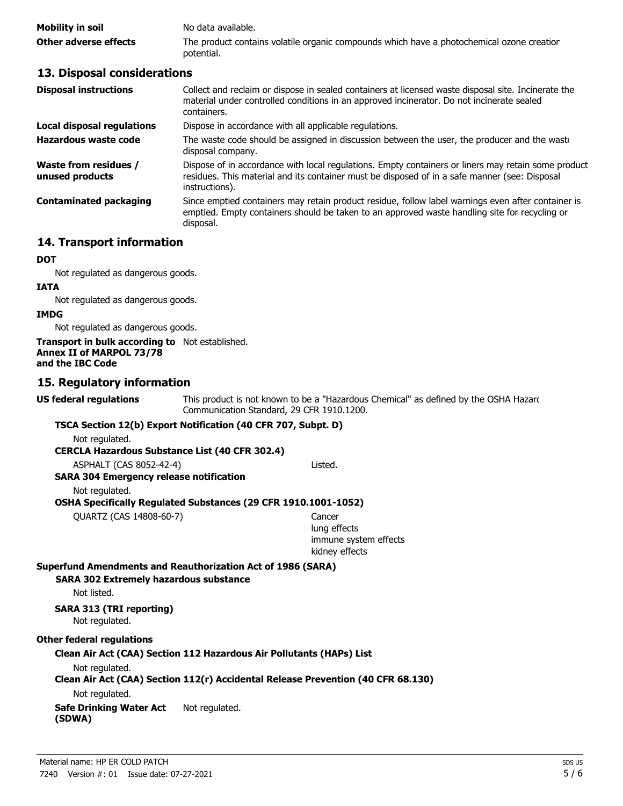| Mobility in soil      | No data available.                                                                                      |
|-----------------------|---------------------------------------------------------------------------------------------------------|
| Other adverse effects | The product contains volatile organic compounds which have a photochemical ozone creatior<br>potential. |

### **13. Disposal considerations**

| Collect and reclaim or dispose in sealed containers at licensed waste disposal site. Incinerate the<br>material under controlled conditions in an approved incinerator. Do not incinerate sealed<br>containers.        |
|------------------------------------------------------------------------------------------------------------------------------------------------------------------------------------------------------------------------|
| Dispose in accordance with all applicable regulations.                                                                                                                                                                 |
| The waste code should be assigned in discussion between the user, the producer and the waste<br>disposal company.                                                                                                      |
| Dispose of in accordance with local regulations. Empty containers or liners may retain some product<br>residues. This material and its container must be disposed of in a safe manner (see: Disposal<br>instructions). |
| Since emptied containers may retain product residue, follow label warnings even after container is<br>emptied. Empty containers should be taken to an approved waste handling site for recycling or<br>disposal.       |
|                                                                                                                                                                                                                        |

## **14. Transport information**

#### **DOT**

Not regulated as dangerous goods.

#### **IATA**

Not regulated as dangerous goods.

#### **IMDG**

Not regulated as dangerous goods.

#### **Transport in bulk according to** Not established. **Annex II of MARPOL 73/78 and the IBC Code**

### **15. Regulatory information**

**US federal regulations**

This product is not known to be a "Hazardous Chemical" as defined by the OSHA Hazard Communication Standard, 29 CFR 1910.1200.

### **TSCA Section 12(b) Export Notification (40 CFR 707, Subpt. D)**

Not regulated.

**CERCLA Hazardous Substance List (40 CFR 302.4)**

ASPHALT (CAS 8052-42-4) Listed.

### **SARA 304 Emergency release notification**

Not regulated.

**OSHA Specifically Regulated Substances (29 CFR 1910.1001-1052)**

QUARTZ (CAS 14808-60-7) Cancer

lung effects immune system effects kidney effects

#### **Superfund Amendments and Reauthorization Act of 1986 (SARA)**

**SARA 302 Extremely hazardous substance**

Not listed.

# **SARA 313 (TRI reporting)**

Not regulated.

#### **Other federal regulations**

**Clean Air Act (CAA) Section 112 Hazardous Air Pollutants (HAPs) List**

#### Not regulated.

### **Clean Air Act (CAA) Section 112(r) Accidental Release Prevention (40 CFR 68.130)**

Not regulated.

#### **Safe Drinking Water Act** Not regulated. **(SDWA)**